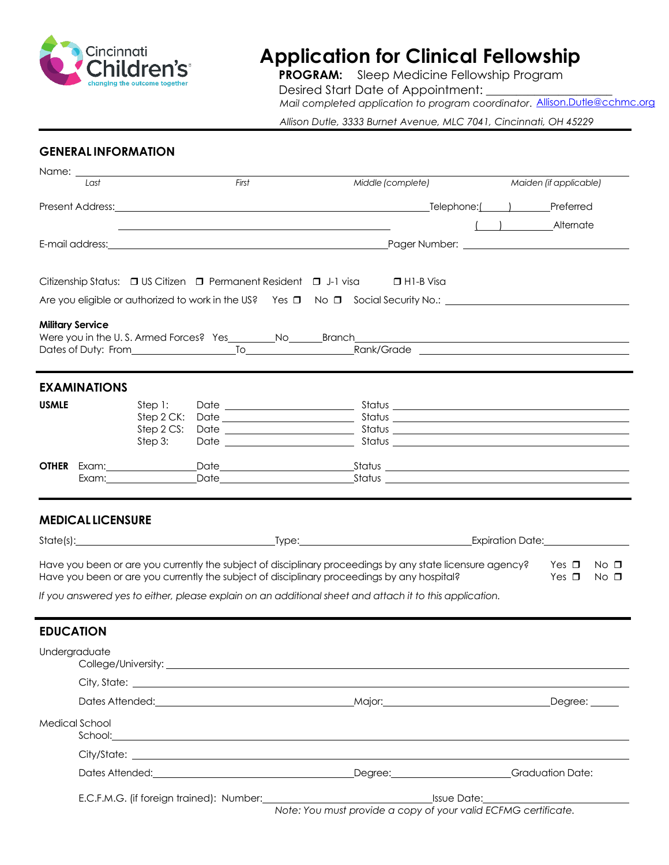

# **Application for Clinical Fellowship**

**PROGRAM:** Sleep Medicine Fellowship Program Desired Start Date of Appointment: *Mail completed application to program coordinator*. [Allison.Dutle@cchmc.org](mailto:Allison.Dutle@cchmc.org)

*Allison Dutle, 3333 Burnet Avenue, MLC 7041, Cincinnati, OH 45229*

# **GENERAL INFORMATION**

| Name: _                  |                                                                |                                                                                                                                                                                                                               |                                                                                                                                                                                                                                      |  |                                          |
|--------------------------|----------------------------------------------------------------|-------------------------------------------------------------------------------------------------------------------------------------------------------------------------------------------------------------------------------|--------------------------------------------------------------------------------------------------------------------------------------------------------------------------------------------------------------------------------------|--|------------------------------------------|
| Last                     |                                                                | First                                                                                                                                                                                                                         | Middle (complete)                                                                                                                                                                                                                    |  | Maiden (if applicable)                   |
|                          |                                                                |                                                                                                                                                                                                                               |                                                                                                                                                                                                                                      |  |                                          |
|                          |                                                                | the control of the control of the control of the control of the control of the control of the control of the control of the control of the control of the control of the control of the control of the control of the control |                                                                                                                                                                                                                                      |  | ( Alternate                              |
|                          |                                                                |                                                                                                                                                                                                                               |                                                                                                                                                                                                                                      |  |                                          |
|                          |                                                                |                                                                                                                                                                                                                               |                                                                                                                                                                                                                                      |  |                                          |
|                          |                                                                |                                                                                                                                                                                                                               | Citizenship Status: □ US Citizen □ Permanent Resident □ J-1 visa □ H1-B Visa                                                                                                                                                         |  |                                          |
|                          |                                                                |                                                                                                                                                                                                                               | Are you eligible or authorized to work in the US? Yes $\square$ No $\square$ Social Security No.:                                                                                                                                    |  |                                          |
| <b>Military Service</b>  |                                                                |                                                                                                                                                                                                                               |                                                                                                                                                                                                                                      |  |                                          |
|                          |                                                                |                                                                                                                                                                                                                               |                                                                                                                                                                                                                                      |  |                                          |
|                          |                                                                |                                                                                                                                                                                                                               |                                                                                                                                                                                                                                      |  |                                          |
| <b>EXAMINATIONS</b>      |                                                                |                                                                                                                                                                                                                               |                                                                                                                                                                                                                                      |  |                                          |
| <b>USMLE</b>             | Step 1:                                                        |                                                                                                                                                                                                                               |                                                                                                                                                                                                                                      |  |                                          |
|                          | Step 2 CK:<br>Step 2 CS:                                       |                                                                                                                                                                                                                               |                                                                                                                                                                                                                                      |  |                                          |
|                          | Step 3:                                                        |                                                                                                                                                                                                                               |                                                                                                                                                                                                                                      |  |                                          |
|                          |                                                                |                                                                                                                                                                                                                               | <b>OTHER</b> Exam: Date Date Status Status Communication Communication of the Date of Status Communication Communication                                                                                                             |  |                                          |
|                          |                                                                |                                                                                                                                                                                                                               |                                                                                                                                                                                                                                      |  |                                          |
|                          |                                                                |                                                                                                                                                                                                                               |                                                                                                                                                                                                                                      |  |                                          |
| <b>MEDICAL LICENSURE</b> |                                                                |                                                                                                                                                                                                                               |                                                                                                                                                                                                                                      |  |                                          |
|                          |                                                                |                                                                                                                                                                                                                               |                                                                                                                                                                                                                                      |  |                                          |
|                          |                                                                |                                                                                                                                                                                                                               | Have you been or are you currently the subject of disciplinary proceedings by any state licensure agency?<br>Have you been or are you currently the subject of disciplinary proceedings by any hospital?                             |  | Yes $\Box$<br>No □<br>Yes $\Box$<br>No □ |
|                          |                                                                |                                                                                                                                                                                                                               | If you answered yes to either, please explain on an additional sheet and attach it to this application.                                                                                                                              |  |                                          |
|                          |                                                                |                                                                                                                                                                                                                               |                                                                                                                                                                                                                                      |  |                                          |
| <b>EDUCATION</b>         |                                                                |                                                                                                                                                                                                                               |                                                                                                                                                                                                                                      |  |                                          |
| Undergraduate            |                                                                |                                                                                                                                                                                                                               |                                                                                                                                                                                                                                      |  |                                          |
|                          |                                                                |                                                                                                                                                                                                                               |                                                                                                                                                                                                                                      |  |                                          |
|                          |                                                                |                                                                                                                                                                                                                               | Dates Attended: <u>Contract Communications and Maximus Attended:</u> Contract Communications Communications and Degree:                                                                                                              |  |                                          |
| Medical School           |                                                                |                                                                                                                                                                                                                               | School: <u>Andreas School</u> : Andreas School: Andreas School: Andreas School: Andreas School: Andreas School: Andreas School: Andreas School: Andreas School: Andreas School: Andreas School: Andreas School: Andreas School: Andr |  |                                          |
|                          |                                                                |                                                                                                                                                                                                                               |                                                                                                                                                                                                                                      |  |                                          |
|                          |                                                                |                                                                                                                                                                                                                               | Dates Attended: Charles Contract Contract Contract Contract Contract Contract Contract Contract Contract Contract Contract Contract Contract Contract Contract Contract Contract Contract Contract Contract Contract Contract        |  |                                          |
|                          |                                                                |                                                                                                                                                                                                                               |                                                                                                                                                                                                                                      |  |                                          |
|                          | Note: You must provide a copy of your valid ECFMG certificate. |                                                                                                                                                                                                                               |                                                                                                                                                                                                                                      |  |                                          |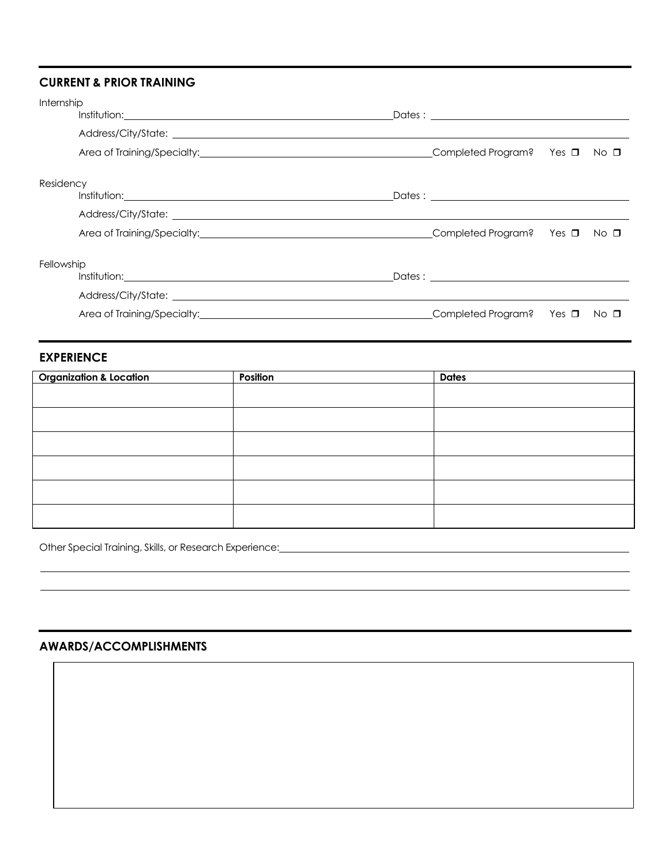# **CURRENT & PRIOR TRAINING**

| Internship |                                                                                                                                                                                                                                      |  |      |
|------------|--------------------------------------------------------------------------------------------------------------------------------------------------------------------------------------------------------------------------------------|--|------|
|            | Address/City/State: <u>example and a series of the series of the series of the series of the series of the series of the series of the series of the series of the series of the series of the series of the series of the serie</u> |  |      |
|            |                                                                                                                                                                                                                                      |  |      |
| Residency  |                                                                                                                                                                                                                                      |  |      |
|            |                                                                                                                                                                                                                                      |  |      |
|            |                                                                                                                                                                                                                                      |  |      |
|            |                                                                                                                                                                                                                                      |  |      |
| Fellowship |                                                                                                                                                                                                                                      |  |      |
|            |                                                                                                                                                                                                                                      |  |      |
|            |                                                                                                                                                                                                                                      |  |      |
|            | Area of Training/Specialty: and the completed Program? Yes a structure of Training/Specialty:                                                                                                                                        |  | No ⊡ |

## **EXPERIENCE**

| <b>Organization &amp; Location</b> | Position | <b>Dates</b> |
|------------------------------------|----------|--------------|
|                                    |          |              |
|                                    |          |              |
|                                    |          |              |
|                                    |          |              |
|                                    |          |              |
|                                    |          |              |

Other Special Training, Skills, or Research Experience: <u>[11] New York Connect Connect</u> Connect Connect Connect Connect Connect Connect Connect Connect Connect Connect Connect Connect Connect Connect Connect Connect Connec

# **AWARDS/ACCOMPLISHMENTS**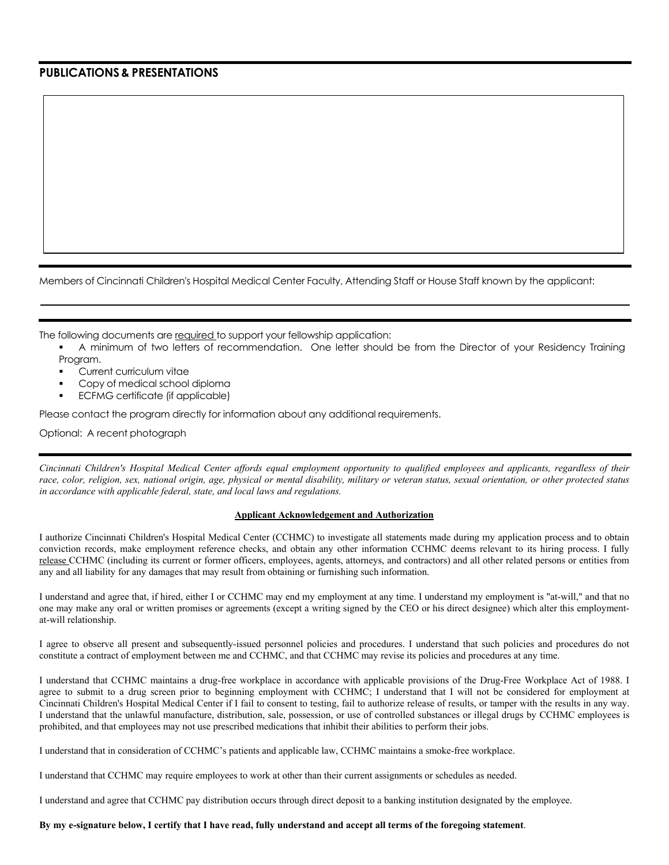### **PUBLICATIONS& PRESENTATIONS**

Members of Cincinnati Children's Hospital Medical Center Faculty, Attending Staff or House Staff known by the applicant:

The following documents are required to support your fellowship application:

- A minimum of two letters of recommendation. One letter should be from the Director of your Residency Training Program.
- Current curriculum vitae
- Copy of medical school diploma
- ECFMG certificate (if applicable)

Please contact the program directly for information about any additional requirements.

Optional: A recent photograph

Cincinnati Children's Hospital Medical Center affords equal employment opportunity to qualified employees and applicants, regardless of their race, color, religion, sex, national origin, age, physical or mental disability, military or veteran status, sexual orientation, or other protected status *in accordance with applicable federal, state, and local laws and regulations.*

### **Applicant Acknowledgement and Authorization**

I authorize Cincinnati Children's Hospital Medical Center (CCHMC) to investigate all statements made during my application process and to obtain conviction records, make employment reference checks, and obtain any other information CCHMC deems relevant to its hiring process. I fully release CCHMC (including its current or former officers, employees, agents, attorneys, and contractors) and all other related persons or entities from any and all liability for any damages that may result from obtaining or furnishing such information.

I understand and agree that, if hired, either I or CCHMC may end my employment at any time. I understand my employment is "at-will," and that no one may make any oral or written promises or agreements (except a writing signed by the CEO or his direct designee) which alter this employmentat-will relationship.

I agree to observe all present and subsequently-issued personnel policies and procedures. I understand that such policies and procedures do not constitute a contract of employment between me and CCHMC, and that CCHMC may revise its policies and procedures at any time.

I understand that CCHMC maintains a drug-free workplace in accordance with applicable provisions of the Drug-Free Workplace Act of 1988. I agree to submit to a drug screen prior to beginning employment with CCHMC; I understand that I will not be considered for employment at Cincinnati Children's Hospital Medical Center if I fail to consent to testing, fail to authorize release of results, or tamper with the results in any way. I understand that the unlawful manufacture, distribution, sale, possession, or use of controlled substances or illegal drugs by CCHMC employees is prohibited, and that employees may not use prescribed medications that inhibit their abilities to perform their jobs.

I understand that in consideration of CCHMC's patients and applicable law, CCHMC maintains a smoke-free workplace.

I understand that CCHMC may require employees to work at other than their current assignments or schedules as needed.

I understand and agree that CCHMC pay distribution occurs through direct deposit to a banking institution designated by the employee.

### **By my e-signature below, I certify that I have read, fully understand and accept all terms of the foregoing statement**.